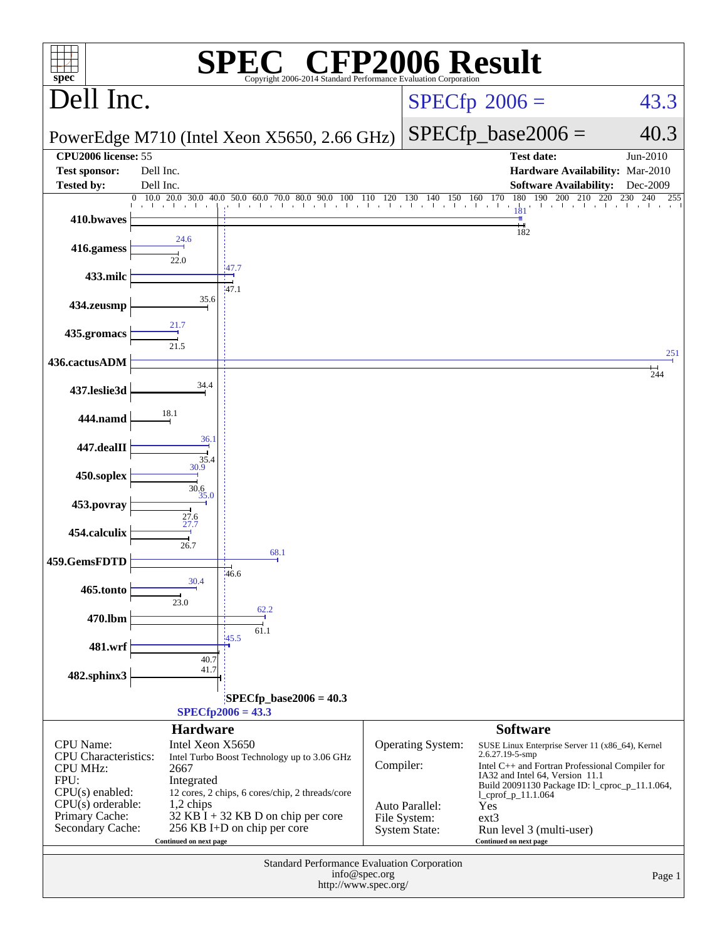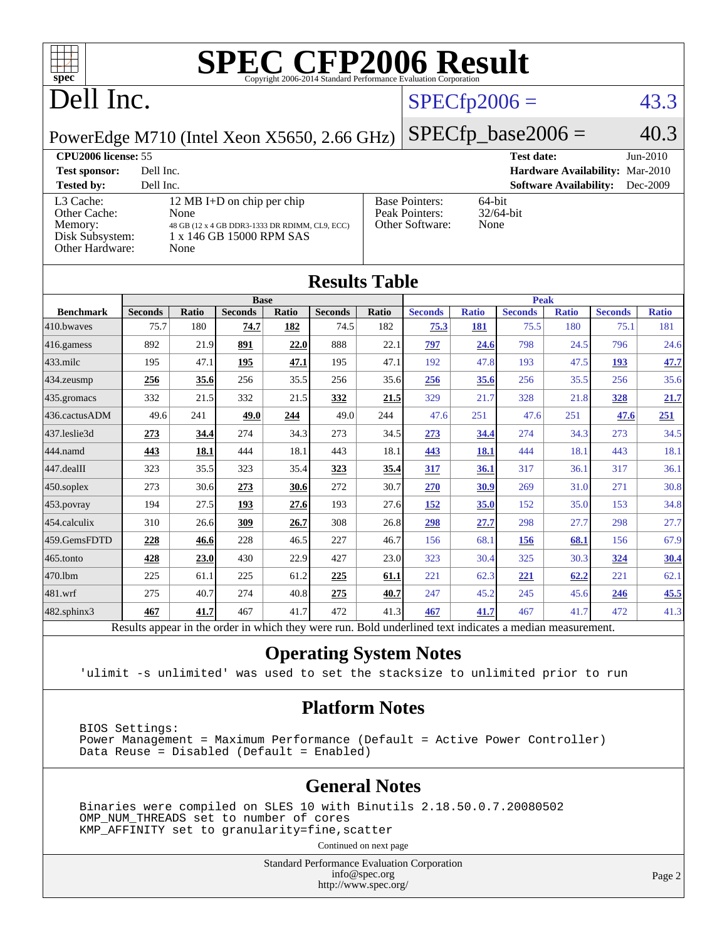

# **[SPEC CFP2006 Result](http://www.spec.org/auto/cpu2006/Docs/result-fields.html#SPECCFP2006Result)**

# Dell Inc.

#### $SPECfp2006 = 43.3$  $SPECfp2006 = 43.3$

PowerEdge M710 (Intel Xeon X5650, 2.66 GHz)

 $SPECfp\_base2006 = 40.3$ 

| <b>CPU2006 license: 55</b>                                                 |                                                                                                                          |                                                            | $Jun-2010$<br><b>Test date:</b>           |
|----------------------------------------------------------------------------|--------------------------------------------------------------------------------------------------------------------------|------------------------------------------------------------|-------------------------------------------|
| <b>Test sponsor:</b>                                                       | Dell Inc.                                                                                                                |                                                            | <b>Hardware Availability: Mar-2010</b>    |
| <b>Tested by:</b>                                                          | Dell Inc.                                                                                                                |                                                            | <b>Software Availability:</b><br>Dec-2009 |
| L3 Cache:<br>Other Cache:<br>Memory:<br>Disk Subsystem:<br>Other Hardware: | 12 MB I+D on chip per chip<br>None<br>48 GB (12 x 4 GB DDR3-1333 DR RDIMM, CL9, ECC)<br>1 x 146 GB 15000 RPM SAS<br>None | <b>Base Pointers:</b><br>Peak Pointers:<br>Other Software: | 64-bit<br>$32/64$ -bit<br>None            |

|                  |                |              |                |       | <b>Results Table</b> |       |                                                                                                          |              |                |              |                |              |
|------------------|----------------|--------------|----------------|-------|----------------------|-------|----------------------------------------------------------------------------------------------------------|--------------|----------------|--------------|----------------|--------------|
|                  | <b>Base</b>    |              |                |       | <b>Peak</b>          |       |                                                                                                          |              |                |              |                |              |
| <b>Benchmark</b> | <b>Seconds</b> | <b>Ratio</b> | <b>Seconds</b> | Ratio | <b>Seconds</b>       | Ratio | <b>Seconds</b>                                                                                           | <b>Ratio</b> | <b>Seconds</b> | <b>Ratio</b> | <b>Seconds</b> | <b>Ratio</b> |
| 410.bwayes       | 75.7           | 180          | 74.7           | 182   | 74.5                 | 182   | 75.3                                                                                                     | 181          | 75.5           | 180          | 75.1           | 181          |
| 416.gamess       | 892            | 21.9         | 891            | 22.0  | 888                  | 22.1  | 797                                                                                                      | 24.6         | 798            | 24.5         | 796            | 24.6         |
| $433$ .milc      | 195            | 47.1         | 195            | 47.1  | 195                  | 47.1  | 192                                                                                                      | 47.8         | 193            | 47.5         | 193            | 47.7         |
| 434.zeusmp       | 256            | 35.6         | 256            | 35.5  | 256                  | 35.6  | 256                                                                                                      | 35.6         | 256            | 35.5         | 256            | 35.6         |
| 435.gromacs      | 332            | 21.5         | 332            | 21.5  | 332                  | 21.5  | 329                                                                                                      | 21.7         | 328            | 21.8         | 328            | 21.7         |
| 436.cactusADM    | 49.6           | 241          | 49.0           | 244   | 49.0                 | 244   | 47.6                                                                                                     | 251          | 47.6           | 251          | 47.6           | 251          |
| 437.leslie3d     | 273            | 34.4         | 274            | 34.3  | 273                  | 34.5  | 273                                                                                                      | 34.4         | 274            | 34.3         | 273            | 34.5         |
| 444.namd         | 443            | 18.1         | 444            | 18.1  | 443                  | 18.1  | 443                                                                                                      | 18.1         | 444            | 18.1         | 443            | 18.1         |
| 447.dealII       | 323            | 35.5         | 323            | 35.4  | 323                  | 35.4  | 317                                                                                                      | 36.1         | 317            | 36.1         | 317            | 36.1         |
| 450.soplex       | 273            | 30.6         | 273            | 30.6  | 272                  | 30.7  | 270                                                                                                      | 30.9         | 269            | 31.0         | 271            | 30.8         |
| 453.povray       | 194            | 27.5         | 193            | 27.6  | 193                  | 27.6  | 152                                                                                                      | 35.0         | 152            | 35.0         | 153            | 34.8         |
| 454.calculix     | 310            | 26.6         | 309            | 26.7  | 308                  | 26.8  | 298                                                                                                      | 27.7         | 298            | 27.7         | 298            | 27.7         |
| 459.GemsFDTD     | 228            | 46.6         | 228            | 46.5  | 227                  | 46.7  | 156                                                                                                      | 68.1         | 156            | 68.1         | 156            | 67.9         |
| 465.tonto        | 428            | 23.0         | 430            | 22.9  | 427                  | 23.0  | 323                                                                                                      | 30.4         | 325            | 30.3         | 324            | 30.4         |
| 470.1bm          | 225            | 61.1         | 225            | 61.2  | 225                  | 61.1  | 221                                                                                                      | 62.3         | 221            | 62.2         | 221            | 62.1         |
| 481.wrf          | 275            | 40.7         | 274            | 40.8  | 275                  | 40.7  | 247                                                                                                      | 45.2         | 245            | 45.6         | 246            | 45.5         |
| 482.sphinx3      | 467            | 41.7         | 467            | 41.7  | 472                  | 41.3  | 467                                                                                                      | 41.7         | 467            | 41.7         | 472            | 41.3         |
|                  |                |              |                |       |                      |       | Results appear in the order in which they were run. Bold underlined text indicates a median measurement. |              |                |              |                |              |

#### **[Operating System Notes](http://www.spec.org/auto/cpu2006/Docs/result-fields.html#OperatingSystemNotes)**

'ulimit -s unlimited' was used to set the stacksize to unlimited prior to run

#### **[Platform Notes](http://www.spec.org/auto/cpu2006/Docs/result-fields.html#PlatformNotes)**

 BIOS Settings: Power Management = Maximum Performance (Default = Active Power Controller) Data Reuse = Disabled (Default = Enabled)

#### **[General Notes](http://www.spec.org/auto/cpu2006/Docs/result-fields.html#GeneralNotes)**

 Binaries were compiled on SLES 10 with Binutils 2.18.50.0.7.20080502 OMP\_NUM\_THREADS set to number of cores KMP\_AFFINITY set to granularity=fine,scatter

Continued on next page

Standard Performance Evaluation Corporation [info@spec.org](mailto:info@spec.org) <http://www.spec.org/>

Page 2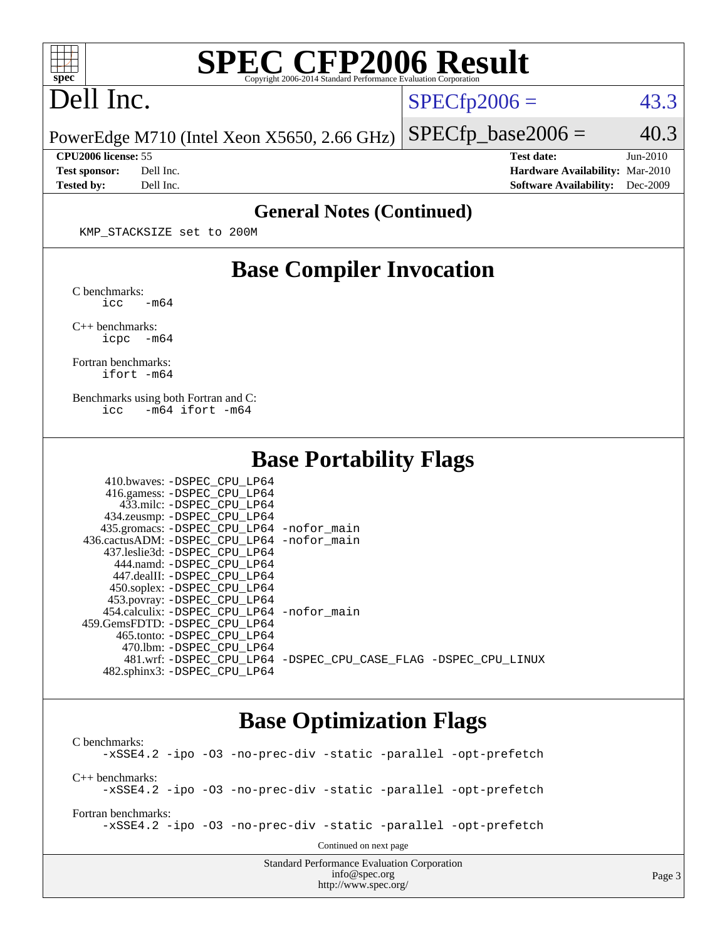

# **[SPEC CFP2006 Result](http://www.spec.org/auto/cpu2006/Docs/result-fields.html#SPECCFP2006Result)**

## Dell Inc.

 $SPECTp2006 = 43.3$ 

 $SPECTp\_base2006 = 40.3$ 

PowerEdge M710 (Intel Xeon X5650, 2.66 GHz)

**[CPU2006 license:](http://www.spec.org/auto/cpu2006/Docs/result-fields.html#CPU2006license)** 55 **[Test date:](http://www.spec.org/auto/cpu2006/Docs/result-fields.html#Testdate)** Jun-2010 **[Test sponsor:](http://www.spec.org/auto/cpu2006/Docs/result-fields.html#Testsponsor)** Dell Inc. **[Hardware Availability:](http://www.spec.org/auto/cpu2006/Docs/result-fields.html#HardwareAvailability)** Mar-2010 **[Tested by:](http://www.spec.org/auto/cpu2006/Docs/result-fields.html#Testedby)** Dell Inc. **[Software Availability:](http://www.spec.org/auto/cpu2006/Docs/result-fields.html#SoftwareAvailability)** Dec-2009

#### **[General Notes \(Continued\)](http://www.spec.org/auto/cpu2006/Docs/result-fields.html#GeneralNotes)**

KMP\_STACKSIZE set to 200M

#### **[Base Compiler Invocation](http://www.spec.org/auto/cpu2006/Docs/result-fields.html#BaseCompilerInvocation)**

[C benchmarks](http://www.spec.org/auto/cpu2006/Docs/result-fields.html#Cbenchmarks):  $\text{icc}$   $-\text{m64}$ 

[C++ benchmarks:](http://www.spec.org/auto/cpu2006/Docs/result-fields.html#CXXbenchmarks) [icpc -m64](http://www.spec.org/cpu2006/results/res2010q3/cpu2006-20100719-12587.flags.html#user_CXXbase_intel_icpc_64bit_bedb90c1146cab66620883ef4f41a67e)

[Fortran benchmarks](http://www.spec.org/auto/cpu2006/Docs/result-fields.html#Fortranbenchmarks): [ifort -m64](http://www.spec.org/cpu2006/results/res2010q3/cpu2006-20100719-12587.flags.html#user_FCbase_intel_ifort_64bit_ee9d0fb25645d0210d97eb0527dcc06e)

[Benchmarks using both Fortran and C](http://www.spec.org/auto/cpu2006/Docs/result-fields.html#BenchmarksusingbothFortranandC): [icc -m64](http://www.spec.org/cpu2006/results/res2010q3/cpu2006-20100719-12587.flags.html#user_CC_FCbase_intel_icc_64bit_0b7121f5ab7cfabee23d88897260401c) [ifort -m64](http://www.spec.org/cpu2006/results/res2010q3/cpu2006-20100719-12587.flags.html#user_CC_FCbase_intel_ifort_64bit_ee9d0fb25645d0210d97eb0527dcc06e)

#### **[Base Portability Flags](http://www.spec.org/auto/cpu2006/Docs/result-fields.html#BasePortabilityFlags)**

| 410.bwaves: -DSPEC CPU LP64                |                                                                |
|--------------------------------------------|----------------------------------------------------------------|
| 416.gamess: -DSPEC_CPU_LP64                |                                                                |
| 433.milc: -DSPEC CPU LP64                  |                                                                |
| 434.zeusmp: -DSPEC_CPU_LP64                |                                                                |
| 435.gromacs: -DSPEC_CPU_LP64 -nofor_main   |                                                                |
| 436.cactusADM: -DSPEC CPU LP64 -nofor main |                                                                |
| 437.leslie3d: -DSPEC CPU LP64              |                                                                |
| 444.namd: -DSPEC CPU LP64                  |                                                                |
| 447.dealII: -DSPEC CPU LP64                |                                                                |
| 450.soplex: -DSPEC_CPU_LP64                |                                                                |
| 453.povray: -DSPEC_CPU_LP64                |                                                                |
| 454.calculix: -DSPEC CPU LP64 -nofor main  |                                                                |
| 459.GemsFDTD: -DSPEC CPU LP64              |                                                                |
| 465.tonto: - DSPEC CPU LP64                |                                                                |
| 470.1bm: - DSPEC CPU LP64                  |                                                                |
|                                            | 481.wrf: -DSPEC CPU_LP64 -DSPEC_CPU_CASE_FLAG -DSPEC_CPU_LINUX |
| 482.sphinx3: -DSPEC CPU LP64               |                                                                |

#### **[Base Optimization Flags](http://www.spec.org/auto/cpu2006/Docs/result-fields.html#BaseOptimizationFlags)**

Standard Performance Evaluation Corporation [C benchmarks](http://www.spec.org/auto/cpu2006/Docs/result-fields.html#Cbenchmarks): [-xSSE4.2](http://www.spec.org/cpu2006/results/res2010q3/cpu2006-20100719-12587.flags.html#user_CCbase_f-xSSE42_f91528193cf0b216347adb8b939d4107) [-ipo](http://www.spec.org/cpu2006/results/res2010q3/cpu2006-20100719-12587.flags.html#user_CCbase_f-ipo) [-O3](http://www.spec.org/cpu2006/results/res2010q3/cpu2006-20100719-12587.flags.html#user_CCbase_f-O3) [-no-prec-div](http://www.spec.org/cpu2006/results/res2010q3/cpu2006-20100719-12587.flags.html#user_CCbase_f-no-prec-div) [-static](http://www.spec.org/cpu2006/results/res2010q3/cpu2006-20100719-12587.flags.html#user_CCbase_f-static) [-parallel](http://www.spec.org/cpu2006/results/res2010q3/cpu2006-20100719-12587.flags.html#user_CCbase_f-parallel) [-opt-prefetch](http://www.spec.org/cpu2006/results/res2010q3/cpu2006-20100719-12587.flags.html#user_CCbase_f-opt-prefetch) [C++ benchmarks:](http://www.spec.org/auto/cpu2006/Docs/result-fields.html#CXXbenchmarks) [-xSSE4.2](http://www.spec.org/cpu2006/results/res2010q3/cpu2006-20100719-12587.flags.html#user_CXXbase_f-xSSE42_f91528193cf0b216347adb8b939d4107) [-ipo](http://www.spec.org/cpu2006/results/res2010q3/cpu2006-20100719-12587.flags.html#user_CXXbase_f-ipo) [-O3](http://www.spec.org/cpu2006/results/res2010q3/cpu2006-20100719-12587.flags.html#user_CXXbase_f-O3) [-no-prec-div](http://www.spec.org/cpu2006/results/res2010q3/cpu2006-20100719-12587.flags.html#user_CXXbase_f-no-prec-div) [-static](http://www.spec.org/cpu2006/results/res2010q3/cpu2006-20100719-12587.flags.html#user_CXXbase_f-static) [-parallel](http://www.spec.org/cpu2006/results/res2010q3/cpu2006-20100719-12587.flags.html#user_CXXbase_f-parallel) [-opt-prefetch](http://www.spec.org/cpu2006/results/res2010q3/cpu2006-20100719-12587.flags.html#user_CXXbase_f-opt-prefetch) [Fortran benchmarks](http://www.spec.org/auto/cpu2006/Docs/result-fields.html#Fortranbenchmarks): [-xSSE4.2](http://www.spec.org/cpu2006/results/res2010q3/cpu2006-20100719-12587.flags.html#user_FCbase_f-xSSE42_f91528193cf0b216347adb8b939d4107) [-ipo](http://www.spec.org/cpu2006/results/res2010q3/cpu2006-20100719-12587.flags.html#user_FCbase_f-ipo) [-O3](http://www.spec.org/cpu2006/results/res2010q3/cpu2006-20100719-12587.flags.html#user_FCbase_f-O3) [-no-prec-div](http://www.spec.org/cpu2006/results/res2010q3/cpu2006-20100719-12587.flags.html#user_FCbase_f-no-prec-div) [-static](http://www.spec.org/cpu2006/results/res2010q3/cpu2006-20100719-12587.flags.html#user_FCbase_f-static) [-parallel](http://www.spec.org/cpu2006/results/res2010q3/cpu2006-20100719-12587.flags.html#user_FCbase_f-parallel) [-opt-prefetch](http://www.spec.org/cpu2006/results/res2010q3/cpu2006-20100719-12587.flags.html#user_FCbase_f-opt-prefetch) Continued on next page

[info@spec.org](mailto:info@spec.org)

<http://www.spec.org/>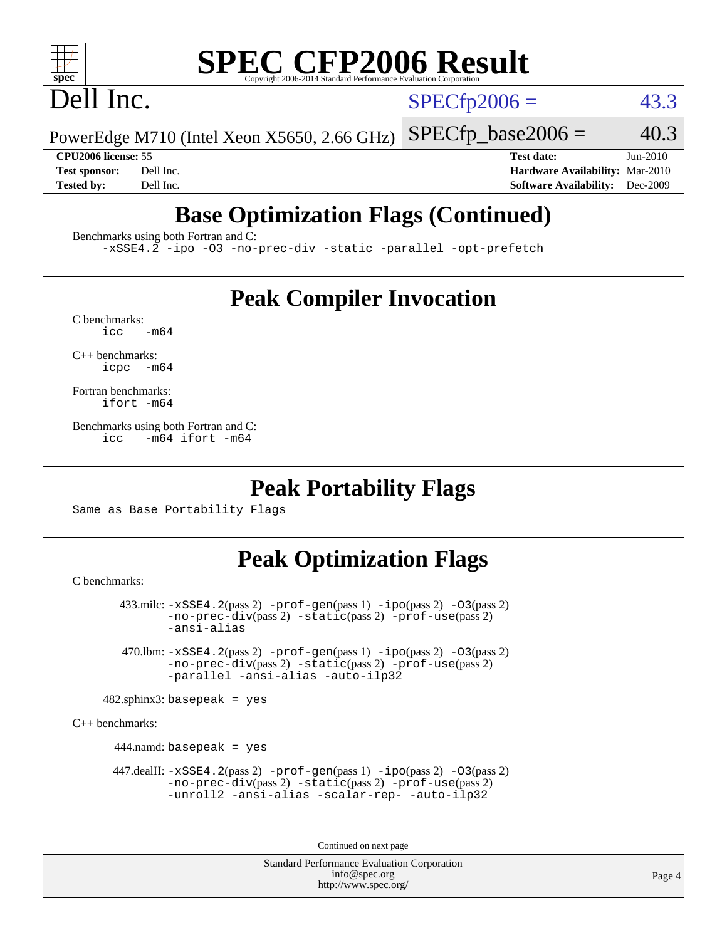# **[SPEC CFP2006 Result](http://www.spec.org/auto/cpu2006/Docs/result-fields.html#SPECCFP2006Result)**

# Dell Inc.

 $SPECTp2006 = 43.3$ 

PowerEdge M710 (Intel Xeon X5650, 2.66 GHz)  $SPECTp\_base2006 = 40.3$ 

**[CPU2006 license:](http://www.spec.org/auto/cpu2006/Docs/result-fields.html#CPU2006license)** 55 **[Test date:](http://www.spec.org/auto/cpu2006/Docs/result-fields.html#Testdate)** Jun-2010 **[Test sponsor:](http://www.spec.org/auto/cpu2006/Docs/result-fields.html#Testsponsor)** Dell Inc. **[Hardware Availability:](http://www.spec.org/auto/cpu2006/Docs/result-fields.html#HardwareAvailability)** Mar-2010 **[Tested by:](http://www.spec.org/auto/cpu2006/Docs/result-fields.html#Testedby)** Dell Inc. **[Software Availability:](http://www.spec.org/auto/cpu2006/Docs/result-fields.html#SoftwareAvailability)** Dec-2009

## **[Base Optimization Flags \(Continued\)](http://www.spec.org/auto/cpu2006/Docs/result-fields.html#BaseOptimizationFlags)**

[Benchmarks using both Fortran and C](http://www.spec.org/auto/cpu2006/Docs/result-fields.html#BenchmarksusingbothFortranandC):

[-xSSE4.2](http://www.spec.org/cpu2006/results/res2010q3/cpu2006-20100719-12587.flags.html#user_CC_FCbase_f-xSSE42_f91528193cf0b216347adb8b939d4107) [-ipo](http://www.spec.org/cpu2006/results/res2010q3/cpu2006-20100719-12587.flags.html#user_CC_FCbase_f-ipo) [-O3](http://www.spec.org/cpu2006/results/res2010q3/cpu2006-20100719-12587.flags.html#user_CC_FCbase_f-O3) [-no-prec-div](http://www.spec.org/cpu2006/results/res2010q3/cpu2006-20100719-12587.flags.html#user_CC_FCbase_f-no-prec-div) [-static](http://www.spec.org/cpu2006/results/res2010q3/cpu2006-20100719-12587.flags.html#user_CC_FCbase_f-static) [-parallel](http://www.spec.org/cpu2006/results/res2010q3/cpu2006-20100719-12587.flags.html#user_CC_FCbase_f-parallel) [-opt-prefetch](http://www.spec.org/cpu2006/results/res2010q3/cpu2006-20100719-12587.flags.html#user_CC_FCbase_f-opt-prefetch)

### **[Peak Compiler Invocation](http://www.spec.org/auto/cpu2006/Docs/result-fields.html#PeakCompilerInvocation)**

 $C$  benchmarks:<br>icc  $-m64$ 

[C++ benchmarks:](http://www.spec.org/auto/cpu2006/Docs/result-fields.html#CXXbenchmarks) [icpc -m64](http://www.spec.org/cpu2006/results/res2010q3/cpu2006-20100719-12587.flags.html#user_CXXpeak_intel_icpc_64bit_bedb90c1146cab66620883ef4f41a67e)

[Fortran benchmarks](http://www.spec.org/auto/cpu2006/Docs/result-fields.html#Fortranbenchmarks): [ifort -m64](http://www.spec.org/cpu2006/results/res2010q3/cpu2006-20100719-12587.flags.html#user_FCpeak_intel_ifort_64bit_ee9d0fb25645d0210d97eb0527dcc06e)

[Benchmarks using both Fortran and C](http://www.spec.org/auto/cpu2006/Docs/result-fields.html#BenchmarksusingbothFortranandC): [icc -m64](http://www.spec.org/cpu2006/results/res2010q3/cpu2006-20100719-12587.flags.html#user_CC_FCpeak_intel_icc_64bit_0b7121f5ab7cfabee23d88897260401c) [ifort -m64](http://www.spec.org/cpu2006/results/res2010q3/cpu2006-20100719-12587.flags.html#user_CC_FCpeak_intel_ifort_64bit_ee9d0fb25645d0210d97eb0527dcc06e)

#### **[Peak Portability Flags](http://www.spec.org/auto/cpu2006/Docs/result-fields.html#PeakPortabilityFlags)**

Same as Base Portability Flags

## **[Peak Optimization Flags](http://www.spec.org/auto/cpu2006/Docs/result-fields.html#PeakOptimizationFlags)**

[C benchmarks](http://www.spec.org/auto/cpu2006/Docs/result-fields.html#Cbenchmarks):

 433.milc: [-xSSE4.2](http://www.spec.org/cpu2006/results/res2010q3/cpu2006-20100719-12587.flags.html#user_peakPASS2_CFLAGSPASS2_LDFLAGS433_milc_f-xSSE42_f91528193cf0b216347adb8b939d4107)(pass 2) [-prof-gen](http://www.spec.org/cpu2006/results/res2010q3/cpu2006-20100719-12587.flags.html#user_peakPASS1_CFLAGSPASS1_LDFLAGS433_milc_prof_gen_e43856698f6ca7b7e442dfd80e94a8fc)(pass 1) [-ipo](http://www.spec.org/cpu2006/results/res2010q3/cpu2006-20100719-12587.flags.html#user_peakPASS2_CFLAGSPASS2_LDFLAGS433_milc_f-ipo)(pass 2) [-O3](http://www.spec.org/cpu2006/results/res2010q3/cpu2006-20100719-12587.flags.html#user_peakPASS2_CFLAGSPASS2_LDFLAGS433_milc_f-O3)(pass 2) [-no-prec-div](http://www.spec.org/cpu2006/results/res2010q3/cpu2006-20100719-12587.flags.html#user_peakPASS2_CFLAGSPASS2_LDFLAGS433_milc_f-no-prec-div)(pass 2) [-static](http://www.spec.org/cpu2006/results/res2010q3/cpu2006-20100719-12587.flags.html#user_peakPASS2_CFLAGSPASS2_LDFLAGS433_milc_f-static)(pass 2) [-prof-use](http://www.spec.org/cpu2006/results/res2010q3/cpu2006-20100719-12587.flags.html#user_peakPASS2_CFLAGSPASS2_LDFLAGS433_milc_prof_use_bccf7792157ff70d64e32fe3e1250b55)(pass 2) [-ansi-alias](http://www.spec.org/cpu2006/results/res2010q3/cpu2006-20100719-12587.flags.html#user_peakOPTIMIZE433_milc_f-ansi-alias)

 470.lbm: [-xSSE4.2](http://www.spec.org/cpu2006/results/res2010q3/cpu2006-20100719-12587.flags.html#user_peakPASS2_CFLAGSPASS2_LDFLAGS470_lbm_f-xSSE42_f91528193cf0b216347adb8b939d4107)(pass 2) [-prof-gen](http://www.spec.org/cpu2006/results/res2010q3/cpu2006-20100719-12587.flags.html#user_peakPASS1_CFLAGSPASS1_LDFLAGS470_lbm_prof_gen_e43856698f6ca7b7e442dfd80e94a8fc)(pass 1) [-ipo](http://www.spec.org/cpu2006/results/res2010q3/cpu2006-20100719-12587.flags.html#user_peakPASS2_CFLAGSPASS2_LDFLAGS470_lbm_f-ipo)(pass 2) [-O3](http://www.spec.org/cpu2006/results/res2010q3/cpu2006-20100719-12587.flags.html#user_peakPASS2_CFLAGSPASS2_LDFLAGS470_lbm_f-O3)(pass 2) [-no-prec-div](http://www.spec.org/cpu2006/results/res2010q3/cpu2006-20100719-12587.flags.html#user_peakPASS2_CFLAGSPASS2_LDFLAGS470_lbm_f-no-prec-div)(pass 2) [-static](http://www.spec.org/cpu2006/results/res2010q3/cpu2006-20100719-12587.flags.html#user_peakPASS2_CFLAGSPASS2_LDFLAGS470_lbm_f-static)(pass 2) [-prof-use](http://www.spec.org/cpu2006/results/res2010q3/cpu2006-20100719-12587.flags.html#user_peakPASS2_CFLAGSPASS2_LDFLAGS470_lbm_prof_use_bccf7792157ff70d64e32fe3e1250b55)(pass 2) [-parallel](http://www.spec.org/cpu2006/results/res2010q3/cpu2006-20100719-12587.flags.html#user_peakOPTIMIZE470_lbm_f-parallel) [-ansi-alias](http://www.spec.org/cpu2006/results/res2010q3/cpu2006-20100719-12587.flags.html#user_peakOPTIMIZE470_lbm_f-ansi-alias) [-auto-ilp32](http://www.spec.org/cpu2006/results/res2010q3/cpu2006-20100719-12587.flags.html#user_peakCOPTIMIZE470_lbm_f-auto-ilp32)

 $482$ .sphinx3: basepeak = yes

[C++ benchmarks:](http://www.spec.org/auto/cpu2006/Docs/result-fields.html#CXXbenchmarks)

444.namd: basepeak = yes

 $447$ .dealII:  $-xSSE4$ .  $2(pass 2)$  [-prof-gen](http://www.spec.org/cpu2006/results/res2010q3/cpu2006-20100719-12587.flags.html#user_peakPASS1_CXXFLAGSPASS1_LDFLAGS447_dealII_prof_gen_e43856698f6ca7b7e442dfd80e94a8fc)(pass 1) [-ipo](http://www.spec.org/cpu2006/results/res2010q3/cpu2006-20100719-12587.flags.html#user_peakPASS2_CXXFLAGSPASS2_LDFLAGS447_dealII_f-ipo)(pass 2) -03(pass 2) [-no-prec-div](http://www.spec.org/cpu2006/results/res2010q3/cpu2006-20100719-12587.flags.html#user_peakPASS2_CXXFLAGSPASS2_LDFLAGS447_dealII_f-no-prec-div)(pass 2) [-static](http://www.spec.org/cpu2006/results/res2010q3/cpu2006-20100719-12587.flags.html#user_peakPASS2_CXXFLAGSPASS2_LDFLAGS447_dealII_f-static)(pass 2) [-prof-use](http://www.spec.org/cpu2006/results/res2010q3/cpu2006-20100719-12587.flags.html#user_peakPASS2_CXXFLAGSPASS2_LDFLAGS447_dealII_prof_use_bccf7792157ff70d64e32fe3e1250b55)(pass 2) [-unroll2](http://www.spec.org/cpu2006/results/res2010q3/cpu2006-20100719-12587.flags.html#user_peakOPTIMIZE447_dealII_f-unroll_784dae83bebfb236979b41d2422d7ec2) [-ansi-alias](http://www.spec.org/cpu2006/results/res2010q3/cpu2006-20100719-12587.flags.html#user_peakOPTIMIZE447_dealII_f-ansi-alias) [-scalar-rep-](http://www.spec.org/cpu2006/results/res2010q3/cpu2006-20100719-12587.flags.html#user_peakOPTIMIZE447_dealII_f-disablescalarrep_abbcad04450fb118e4809c81d83c8a1d) [-auto-ilp32](http://www.spec.org/cpu2006/results/res2010q3/cpu2006-20100719-12587.flags.html#user_peakCXXOPTIMIZE447_dealII_f-auto-ilp32)

Continued on next page

Standard Performance Evaluation Corporation [info@spec.org](mailto:info@spec.org) <http://www.spec.org/>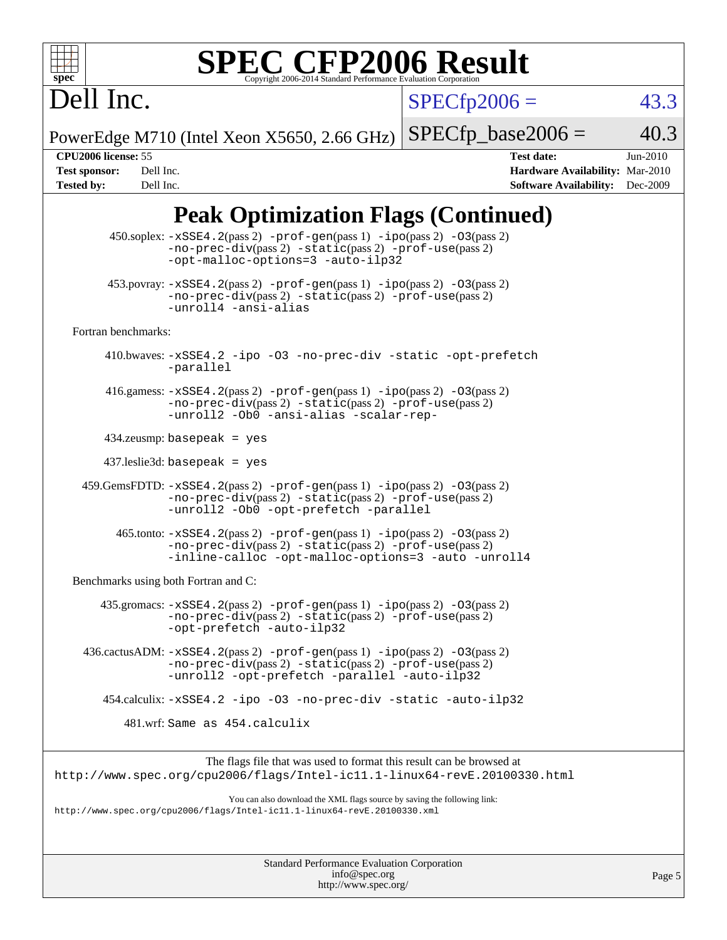

#### **[SPEC CFP2006 Result](http://www.spec.org/auto/cpu2006/Docs/result-fields.html#SPECCFP2006Result)** Copyright 2006-2014 Standard Performance Eva

 $SPECTp2006 = 43.3$ 

PowerEdge M710 (Intel Xeon X5650, 2.66 GHz)  $SPECTp\_base2006 = 40.3$ 

Dell Inc.

**[CPU2006 license:](http://www.spec.org/auto/cpu2006/Docs/result-fields.html#CPU2006license)** 55 **[Test date:](http://www.spec.org/auto/cpu2006/Docs/result-fields.html#Testdate)** Jun-2010 **[Test sponsor:](http://www.spec.org/auto/cpu2006/Docs/result-fields.html#Testsponsor)** Dell Inc. **[Hardware Availability:](http://www.spec.org/auto/cpu2006/Docs/result-fields.html#HardwareAvailability)** Mar-2010 **[Tested by:](http://www.spec.org/auto/cpu2006/Docs/result-fields.html#Testedby)** Dell Inc. **[Software Availability:](http://www.spec.org/auto/cpu2006/Docs/result-fields.html#SoftwareAvailability)** Dec-2009

## **[Peak Optimization Flags \(Continued\)](http://www.spec.org/auto/cpu2006/Docs/result-fields.html#PeakOptimizationFlags)**

 450.soplex: [-xSSE4.2](http://www.spec.org/cpu2006/results/res2010q3/cpu2006-20100719-12587.flags.html#user_peakPASS2_CXXFLAGSPASS2_LDFLAGS450_soplex_f-xSSE42_f91528193cf0b216347adb8b939d4107)(pass 2) [-prof-gen](http://www.spec.org/cpu2006/results/res2010q3/cpu2006-20100719-12587.flags.html#user_peakPASS1_CXXFLAGSPASS1_LDFLAGS450_soplex_prof_gen_e43856698f6ca7b7e442dfd80e94a8fc)(pass 1) [-ipo](http://www.spec.org/cpu2006/results/res2010q3/cpu2006-20100719-12587.flags.html#user_peakPASS2_CXXFLAGSPASS2_LDFLAGS450_soplex_f-ipo)(pass 2) [-O3](http://www.spec.org/cpu2006/results/res2010q3/cpu2006-20100719-12587.flags.html#user_peakPASS2_CXXFLAGSPASS2_LDFLAGS450_soplex_f-O3)(pass 2) [-no-prec-div](http://www.spec.org/cpu2006/results/res2010q3/cpu2006-20100719-12587.flags.html#user_peakPASS2_CXXFLAGSPASS2_LDFLAGS450_soplex_f-no-prec-div)(pass 2) [-static](http://www.spec.org/cpu2006/results/res2010q3/cpu2006-20100719-12587.flags.html#user_peakPASS2_CXXFLAGSPASS2_LDFLAGS450_soplex_f-static)(pass 2) [-prof-use](http://www.spec.org/cpu2006/results/res2010q3/cpu2006-20100719-12587.flags.html#user_peakPASS2_CXXFLAGSPASS2_LDFLAGS450_soplex_prof_use_bccf7792157ff70d64e32fe3e1250b55)(pass 2) [-opt-malloc-options=3](http://www.spec.org/cpu2006/results/res2010q3/cpu2006-20100719-12587.flags.html#user_peakOPTIMIZE450_soplex_f-opt-malloc-options_13ab9b803cf986b4ee62f0a5998c2238) [-auto-ilp32](http://www.spec.org/cpu2006/results/res2010q3/cpu2006-20100719-12587.flags.html#user_peakCXXOPTIMIZE450_soplex_f-auto-ilp32)  $453.$ povray:  $-xSSE4$ .  $2(pass 2)$  [-prof-gen](http://www.spec.org/cpu2006/results/res2010q3/cpu2006-20100719-12587.flags.html#user_peakPASS1_CXXFLAGSPASS1_LDFLAGS453_povray_prof_gen_e43856698f6ca7b7e442dfd80e94a8fc)(pass 1) [-ipo](http://www.spec.org/cpu2006/results/res2010q3/cpu2006-20100719-12587.flags.html#user_peakPASS2_CXXFLAGSPASS2_LDFLAGS453_povray_f-ipo)(pass 2) -03(pass 2) [-no-prec-div](http://www.spec.org/cpu2006/results/res2010q3/cpu2006-20100719-12587.flags.html#user_peakPASS2_CXXFLAGSPASS2_LDFLAGS453_povray_f-no-prec-div)(pass 2) [-static](http://www.spec.org/cpu2006/results/res2010q3/cpu2006-20100719-12587.flags.html#user_peakPASS2_CXXFLAGSPASS2_LDFLAGS453_povray_f-static)(pass 2) [-prof-use](http://www.spec.org/cpu2006/results/res2010q3/cpu2006-20100719-12587.flags.html#user_peakPASS2_CXXFLAGSPASS2_LDFLAGS453_povray_prof_use_bccf7792157ff70d64e32fe3e1250b55)(pass 2) [-unroll4](http://www.spec.org/cpu2006/results/res2010q3/cpu2006-20100719-12587.flags.html#user_peakCXXOPTIMIZE453_povray_f-unroll_4e5e4ed65b7fd20bdcd365bec371b81f) [-ansi-alias](http://www.spec.org/cpu2006/results/res2010q3/cpu2006-20100719-12587.flags.html#user_peakCXXOPTIMIZE453_povray_f-ansi-alias) [Fortran benchmarks](http://www.spec.org/auto/cpu2006/Docs/result-fields.html#Fortranbenchmarks): 410.bwaves: [-xSSE4.2](http://www.spec.org/cpu2006/results/res2010q3/cpu2006-20100719-12587.flags.html#user_peakOPTIMIZE410_bwaves_f-xSSE42_f91528193cf0b216347adb8b939d4107) [-ipo](http://www.spec.org/cpu2006/results/res2010q3/cpu2006-20100719-12587.flags.html#user_peakOPTIMIZE410_bwaves_f-ipo) [-O3](http://www.spec.org/cpu2006/results/res2010q3/cpu2006-20100719-12587.flags.html#user_peakOPTIMIZE410_bwaves_f-O3) [-no-prec-div](http://www.spec.org/cpu2006/results/res2010q3/cpu2006-20100719-12587.flags.html#user_peakOPTIMIZE410_bwaves_f-no-prec-div) [-static](http://www.spec.org/cpu2006/results/res2010q3/cpu2006-20100719-12587.flags.html#user_peakOPTIMIZE410_bwaves_f-static) [-opt-prefetch](http://www.spec.org/cpu2006/results/res2010q3/cpu2006-20100719-12587.flags.html#user_peakOPTIMIZE410_bwaves_f-opt-prefetch) [-parallel](http://www.spec.org/cpu2006/results/res2010q3/cpu2006-20100719-12587.flags.html#user_peakOPTIMIZE410_bwaves_f-parallel) 416.gamess: [-xSSE4.2](http://www.spec.org/cpu2006/results/res2010q3/cpu2006-20100719-12587.flags.html#user_peakPASS2_FFLAGSPASS2_LDFLAGS416_gamess_f-xSSE42_f91528193cf0b216347adb8b939d4107)(pass 2) [-prof-gen](http://www.spec.org/cpu2006/results/res2010q3/cpu2006-20100719-12587.flags.html#user_peakPASS1_FFLAGSPASS1_LDFLAGS416_gamess_prof_gen_e43856698f6ca7b7e442dfd80e94a8fc)(pass 1) [-ipo](http://www.spec.org/cpu2006/results/res2010q3/cpu2006-20100719-12587.flags.html#user_peakPASS2_FFLAGSPASS2_LDFLAGS416_gamess_f-ipo)(pass 2) [-O3](http://www.spec.org/cpu2006/results/res2010q3/cpu2006-20100719-12587.flags.html#user_peakPASS2_FFLAGSPASS2_LDFLAGS416_gamess_f-O3)(pass 2) [-no-prec-div](http://www.spec.org/cpu2006/results/res2010q3/cpu2006-20100719-12587.flags.html#user_peakPASS2_FFLAGSPASS2_LDFLAGS416_gamess_f-no-prec-div)(pass 2) [-static](http://www.spec.org/cpu2006/results/res2010q3/cpu2006-20100719-12587.flags.html#user_peakPASS2_FFLAGSPASS2_LDFLAGS416_gamess_f-static)(pass 2) [-prof-use](http://www.spec.org/cpu2006/results/res2010q3/cpu2006-20100719-12587.flags.html#user_peakPASS2_FFLAGSPASS2_LDFLAGS416_gamess_prof_use_bccf7792157ff70d64e32fe3e1250b55)(pass 2) [-unroll2](http://www.spec.org/cpu2006/results/res2010q3/cpu2006-20100719-12587.flags.html#user_peakOPTIMIZE416_gamess_f-unroll_784dae83bebfb236979b41d2422d7ec2) [-Ob0](http://www.spec.org/cpu2006/results/res2010q3/cpu2006-20100719-12587.flags.html#user_peakOPTIMIZE416_gamess_f-Ob_n_fbe6f6428adb7d4b74b1e99bb2444c2d) [-ansi-alias](http://www.spec.org/cpu2006/results/res2010q3/cpu2006-20100719-12587.flags.html#user_peakOPTIMIZE416_gamess_f-ansi-alias) [-scalar-rep-](http://www.spec.org/cpu2006/results/res2010q3/cpu2006-20100719-12587.flags.html#user_peakOPTIMIZE416_gamess_f-disablescalarrep_abbcad04450fb118e4809c81d83c8a1d) 434.zeusmp: basepeak = yes 437.leslie3d: basepeak = yes  $459.GemsFDTD: -xSSE4.2(pass 2) -prof-gen(pass 1) -ipo(pass 2) -O3(pass 2)$  $459.GemsFDTD: -xSSE4.2(pass 2) -prof-gen(pass 1) -ipo(pass 2) -O3(pass 2)$  $459.GemsFDTD: -xSSE4.2(pass 2) -prof-gen(pass 1) -ipo(pass 2) -O3(pass 2)$  $459.GemsFDTD: -xSSE4.2(pass 2) -prof-gen(pass 1) -ipo(pass 2) -O3(pass 2)$  $459.GemsFDTD: -xSSE4.2(pass 2) -prof-gen(pass 1) -ipo(pass 2) -O3(pass 2)$  $459.GemsFDTD: -xSSE4.2(pass 2) -prof-gen(pass 1) -ipo(pass 2) -O3(pass 2)$  $459.GemsFDTD: -xSSE4.2(pass 2) -prof-gen(pass 1) -ipo(pass 2) -O3(pass 2)$  $459.GemsFDTD: -xSSE4.2(pass 2) -prof-gen(pass 1) -ipo(pass 2) -O3(pass 2)$  $459.GemsFDTD: -xSSE4.2(pass 2) -prof-gen(pass 1) -ipo(pass 2) -O3(pass 2)$ [-no-prec-div](http://www.spec.org/cpu2006/results/res2010q3/cpu2006-20100719-12587.flags.html#user_peakPASS2_FFLAGSPASS2_LDFLAGS459_GemsFDTD_f-no-prec-div)(pass 2) [-static](http://www.spec.org/cpu2006/results/res2010q3/cpu2006-20100719-12587.flags.html#user_peakPASS2_FFLAGSPASS2_LDFLAGS459_GemsFDTD_f-static)(pass 2) [-prof-use](http://www.spec.org/cpu2006/results/res2010q3/cpu2006-20100719-12587.flags.html#user_peakPASS2_FFLAGSPASS2_LDFLAGS459_GemsFDTD_prof_use_bccf7792157ff70d64e32fe3e1250b55)(pass 2) [-unroll2](http://www.spec.org/cpu2006/results/res2010q3/cpu2006-20100719-12587.flags.html#user_peakOPTIMIZE459_GemsFDTD_f-unroll_784dae83bebfb236979b41d2422d7ec2) [-Ob0](http://www.spec.org/cpu2006/results/res2010q3/cpu2006-20100719-12587.flags.html#user_peakOPTIMIZE459_GemsFDTD_f-Ob_n_fbe6f6428adb7d4b74b1e99bb2444c2d) [-opt-prefetch](http://www.spec.org/cpu2006/results/res2010q3/cpu2006-20100719-12587.flags.html#user_peakOPTIMIZE459_GemsFDTD_f-opt-prefetch) [-parallel](http://www.spec.org/cpu2006/results/res2010q3/cpu2006-20100719-12587.flags.html#user_peakOPTIMIZE459_GemsFDTD_f-parallel) 465.tonto: [-xSSE4.2](http://www.spec.org/cpu2006/results/res2010q3/cpu2006-20100719-12587.flags.html#user_peakPASS2_FFLAGSPASS2_LDFLAGS465_tonto_f-xSSE42_f91528193cf0b216347adb8b939d4107)(pass 2) [-prof-gen](http://www.spec.org/cpu2006/results/res2010q3/cpu2006-20100719-12587.flags.html#user_peakPASS1_FFLAGSPASS1_LDFLAGS465_tonto_prof_gen_e43856698f6ca7b7e442dfd80e94a8fc)(pass 1) [-ipo](http://www.spec.org/cpu2006/results/res2010q3/cpu2006-20100719-12587.flags.html#user_peakPASS2_FFLAGSPASS2_LDFLAGS465_tonto_f-ipo)(pass 2) [-O3](http://www.spec.org/cpu2006/results/res2010q3/cpu2006-20100719-12587.flags.html#user_peakPASS2_FFLAGSPASS2_LDFLAGS465_tonto_f-O3)(pass 2) [-no-prec-div](http://www.spec.org/cpu2006/results/res2010q3/cpu2006-20100719-12587.flags.html#user_peakPASS2_FFLAGSPASS2_LDFLAGS465_tonto_f-no-prec-div)(pass 2) [-static](http://www.spec.org/cpu2006/results/res2010q3/cpu2006-20100719-12587.flags.html#user_peakPASS2_FFLAGSPASS2_LDFLAGS465_tonto_f-static)(pass 2) [-prof-use](http://www.spec.org/cpu2006/results/res2010q3/cpu2006-20100719-12587.flags.html#user_peakPASS2_FFLAGSPASS2_LDFLAGS465_tonto_prof_use_bccf7792157ff70d64e32fe3e1250b55)(pass 2) [-inline-calloc](http://www.spec.org/cpu2006/results/res2010q3/cpu2006-20100719-12587.flags.html#user_peakOPTIMIZE465_tonto_f-inline-calloc) [-opt-malloc-options=3](http://www.spec.org/cpu2006/results/res2010q3/cpu2006-20100719-12587.flags.html#user_peakOPTIMIZE465_tonto_f-opt-malloc-options_13ab9b803cf986b4ee62f0a5998c2238) [-auto](http://www.spec.org/cpu2006/results/res2010q3/cpu2006-20100719-12587.flags.html#user_peakOPTIMIZE465_tonto_f-auto) [-unroll4](http://www.spec.org/cpu2006/results/res2010q3/cpu2006-20100719-12587.flags.html#user_peakOPTIMIZE465_tonto_f-unroll_4e5e4ed65b7fd20bdcd365bec371b81f) [Benchmarks using both Fortran and C](http://www.spec.org/auto/cpu2006/Docs/result-fields.html#BenchmarksusingbothFortranandC): 435.gromacs: [-xSSE4.2](http://www.spec.org/cpu2006/results/res2010q3/cpu2006-20100719-12587.flags.html#user_peakPASS2_CFLAGSPASS2_FFLAGSPASS2_LDFLAGS435_gromacs_f-xSSE42_f91528193cf0b216347adb8b939d4107)(pass 2) [-prof-gen](http://www.spec.org/cpu2006/results/res2010q3/cpu2006-20100719-12587.flags.html#user_peakPASS1_CFLAGSPASS1_FFLAGSPASS1_LDFLAGS435_gromacs_prof_gen_e43856698f6ca7b7e442dfd80e94a8fc)(pass 1) [-ipo](http://www.spec.org/cpu2006/results/res2010q3/cpu2006-20100719-12587.flags.html#user_peakPASS2_CFLAGSPASS2_FFLAGSPASS2_LDFLAGS435_gromacs_f-ipo)(pass 2) [-O3](http://www.spec.org/cpu2006/results/res2010q3/cpu2006-20100719-12587.flags.html#user_peakPASS2_CFLAGSPASS2_FFLAGSPASS2_LDFLAGS435_gromacs_f-O3)(pass 2) [-no-prec-div](http://www.spec.org/cpu2006/results/res2010q3/cpu2006-20100719-12587.flags.html#user_peakPASS2_CFLAGSPASS2_FFLAGSPASS2_LDFLAGS435_gromacs_f-no-prec-div)(pass 2) [-static](http://www.spec.org/cpu2006/results/res2010q3/cpu2006-20100719-12587.flags.html#user_peakPASS2_CFLAGSPASS2_FFLAGSPASS2_LDFLAGS435_gromacs_f-static)(pass 2) [-prof-use](http://www.spec.org/cpu2006/results/res2010q3/cpu2006-20100719-12587.flags.html#user_peakPASS2_CFLAGSPASS2_FFLAGSPASS2_LDFLAGS435_gromacs_prof_use_bccf7792157ff70d64e32fe3e1250b55)(pass 2) [-opt-prefetch](http://www.spec.org/cpu2006/results/res2010q3/cpu2006-20100719-12587.flags.html#user_peakOPTIMIZE435_gromacs_f-opt-prefetch) [-auto-ilp32](http://www.spec.org/cpu2006/results/res2010q3/cpu2006-20100719-12587.flags.html#user_peakCOPTIMIZE435_gromacs_f-auto-ilp32) 436.cactusADM: [-xSSE4.2](http://www.spec.org/cpu2006/results/res2010q3/cpu2006-20100719-12587.flags.html#user_peakPASS2_CFLAGSPASS2_FFLAGSPASS2_LDFLAGS436_cactusADM_f-xSSE42_f91528193cf0b216347adb8b939d4107)(pass 2) [-prof-gen](http://www.spec.org/cpu2006/results/res2010q3/cpu2006-20100719-12587.flags.html#user_peakPASS1_CFLAGSPASS1_FFLAGSPASS1_LDFLAGS436_cactusADM_prof_gen_e43856698f6ca7b7e442dfd80e94a8fc)(pass 1) [-ipo](http://www.spec.org/cpu2006/results/res2010q3/cpu2006-20100719-12587.flags.html#user_peakPASS2_CFLAGSPASS2_FFLAGSPASS2_LDFLAGS436_cactusADM_f-ipo)(pass 2) [-O3](http://www.spec.org/cpu2006/results/res2010q3/cpu2006-20100719-12587.flags.html#user_peakPASS2_CFLAGSPASS2_FFLAGSPASS2_LDFLAGS436_cactusADM_f-O3)(pass 2) [-no-prec-div](http://www.spec.org/cpu2006/results/res2010q3/cpu2006-20100719-12587.flags.html#user_peakPASS2_CFLAGSPASS2_FFLAGSPASS2_LDFLAGS436_cactusADM_f-no-prec-div)(pass 2) [-static](http://www.spec.org/cpu2006/results/res2010q3/cpu2006-20100719-12587.flags.html#user_peakPASS2_CFLAGSPASS2_FFLAGSPASS2_LDFLAGS436_cactusADM_f-static)(pass 2) [-prof-use](http://www.spec.org/cpu2006/results/res2010q3/cpu2006-20100719-12587.flags.html#user_peakPASS2_CFLAGSPASS2_FFLAGSPASS2_LDFLAGS436_cactusADM_prof_use_bccf7792157ff70d64e32fe3e1250b55)(pass 2) [-unroll2](http://www.spec.org/cpu2006/results/res2010q3/cpu2006-20100719-12587.flags.html#user_peakOPTIMIZE436_cactusADM_f-unroll_784dae83bebfb236979b41d2422d7ec2) [-opt-prefetch](http://www.spec.org/cpu2006/results/res2010q3/cpu2006-20100719-12587.flags.html#user_peakOPTIMIZE436_cactusADM_f-opt-prefetch) [-parallel](http://www.spec.org/cpu2006/results/res2010q3/cpu2006-20100719-12587.flags.html#user_peakOPTIMIZE436_cactusADM_f-parallel) [-auto-ilp32](http://www.spec.org/cpu2006/results/res2010q3/cpu2006-20100719-12587.flags.html#user_peakCOPTIMIZE436_cactusADM_f-auto-ilp32) 454.calculix: [-xSSE4.2](http://www.spec.org/cpu2006/results/res2010q3/cpu2006-20100719-12587.flags.html#user_peakOPTIMIZE454_calculix_f-xSSE42_f91528193cf0b216347adb8b939d4107) [-ipo](http://www.spec.org/cpu2006/results/res2010q3/cpu2006-20100719-12587.flags.html#user_peakOPTIMIZE454_calculix_f-ipo) [-O3](http://www.spec.org/cpu2006/results/res2010q3/cpu2006-20100719-12587.flags.html#user_peakOPTIMIZE454_calculix_f-O3) [-no-prec-div](http://www.spec.org/cpu2006/results/res2010q3/cpu2006-20100719-12587.flags.html#user_peakOPTIMIZE454_calculix_f-no-prec-div) [-static](http://www.spec.org/cpu2006/results/res2010q3/cpu2006-20100719-12587.flags.html#user_peakOPTIMIZE454_calculix_f-static) [-auto-ilp32](http://www.spec.org/cpu2006/results/res2010q3/cpu2006-20100719-12587.flags.html#user_peakCOPTIMIZE454_calculix_f-auto-ilp32) 481.wrf: Same as 454.calculix The flags file that was used to format this result can be browsed at <http://www.spec.org/cpu2006/flags/Intel-ic11.1-linux64-revE.20100330.html> You can also download the XML flags source by saving the following link: <http://www.spec.org/cpu2006/flags/Intel-ic11.1-linux64-revE.20100330.xml>

> Standard Performance Evaluation Corporation [info@spec.org](mailto:info@spec.org) <http://www.spec.org/>